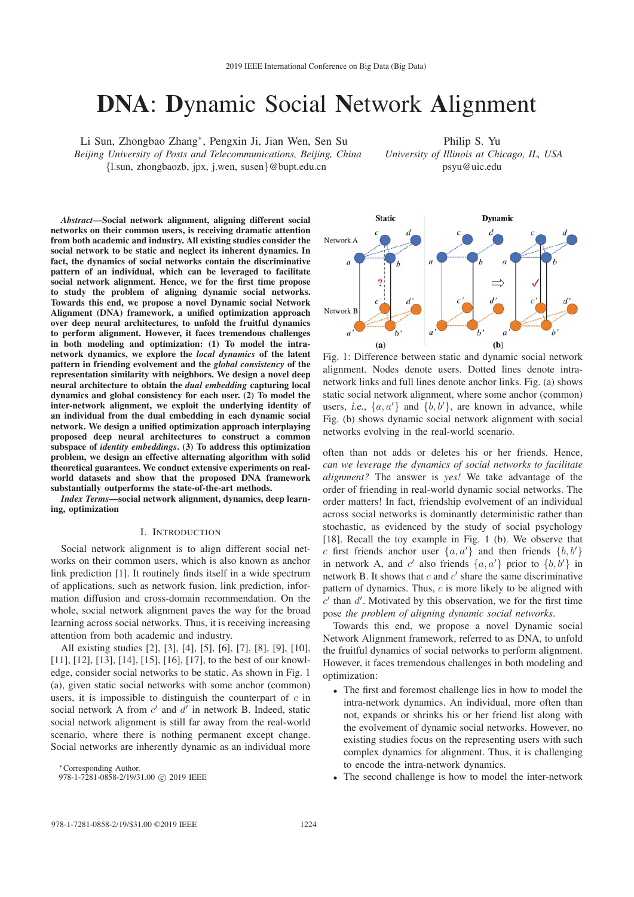# DNA: Dynamic Social Network Alignment

Li Sun, Zhongbao Zhang∗, Pengxin Ji, Jian Wen, Sen Su

*Beijing University of Posts and Telecommunications, Beijing, China* {l.sun, zhongbaozb, jpx, j.wen, susen}@bupt.edu.cn

Philip S. Yu *University of Illinois at Chicago, IL, USA* psyu@uic.edu

*Abstract*—Social network alignment, aligning different social networks on their common users, is receiving dramatic attention from both academic and industry. All existing studies consider the social network to be static and neglect its inherent dynamics. In fact, the dynamics of social networks contain the discriminative pattern of an individual, which can be leveraged to facilitate social network alignment. Hence, we for the first time propose to study the problem of aligning dynamic social networks. Towards this end, we propose a novel Dynamic social Network Alignment (DNA) framework, a unified optimization approach over deep neural architectures, to unfold the fruitful dynamics to perform alignment. However, it faces tremendous challenges in both modeling and optimization: (1) To model the intranetwork dynamics, we explore the *local dynamics* of the latent pattern in friending evolvement and the *global consistency* of the representation similarity with neighbors. We design a novel deep neural architecture to obtain the *dual embedding* capturing local dynamics and global consistency for each user. (2) To model the inter-network alignment, we exploit the underlying identity of an individual from the dual embedding in each dynamic social network. We design a unified optimization approach interplaying proposed deep neural architectures to construct a common subspace of *identity embeddings*. (3) To address this optimization problem, we design an effective alternating algorithm with solid theoretical guarantees. We conduct extensive experiments on realworld datasets and show that the proposed DNA framework substantially outperforms the state-of-the-art methods.

*Index Terms*—social network alignment, dynamics, deep learning, optimization

## I. INTRODUCTION

Social network alignment is to align different social networks on their common users, which is also known as anchor link prediction [1]. It routinely finds itself in a wide spectrum of applications, such as network fusion, link prediction, information diffusion and cross-domain recommendation. On the whole, social network alignment paves the way for the broad learning across social networks. Thus, it is receiving increasing attention from both academic and industry.

All existing studies [2], [3], [4], [5], [6], [7], [8], [9], [10], [11], [12], [13], [14], [15], [16], [17], to the best of our knowledge, consider social networks to be static. As shown in Fig. 1 (a), given static social networks with some anchor (common) users, it is impossible to distinguish the counterpart of  $c$  in social network A from  $c'$  and  $d'$  in network B. Indeed, static social network alignment is still far away from the real-world scenario, where there is nothing permanent except change. Social networks are inherently dynamic as an individual more

∗Corresponding Author.

978-1-7281-0858-2/19/31.00 C 2019 IEEE

**Static Dynamic** Network A  $\overline{a}$ Network I  $\overline{a}$  $(b)$  $(a)$ 

Fig. 1: Difference between static and dynamic social network alignment. Nodes denote users. Dotted lines denote intranetwork links and full lines denote anchor links. Fig. (a) shows static social network alignment, where some anchor (common) users, i.e.,  $\{a, a'\}$  and  $\{b, b'\}$ , are known in advance, while Fig. (b) shows dynamic social network alignment with social networks evolving in the real-world scenario.

often than not adds or deletes his or her friends. Hence, *can we leverage the dynamics of social networks to facilitate alignment?* The answer is *yes!* We take advantage of the order of friending in real-world dynamic social networks. The order matters! In fact, friendship evolvement of an individual across social networks is dominantly deterministic rather than stochastic, as evidenced by the study of social psychology [18]. Recall the toy example in Fig. 1 (b). We observe that c first friends anchor user  $\{a, a'\}$  and then friends  $\{b, b'\}$ in network A, and c' also friends  $\{a, a'\}$  prior to  $\{b, b'\}$  in network B. It shows that  $c$  and  $c'$  share the same discriminative pattern of dynamics. Thus,  $c$  is more likely to be aligned with  $c'$  than  $d'$ . Motivated by this observation, we for the first time pose *the problem of aligning dynamic social networks*.

Towards this end, we propose a novel Dynamic social Network Alignment framework, referred to as DNA, to unfold the fruitful dynamics of social networks to perform alignment. However, it faces tremendous challenges in both modeling and optimization:

- The first and foremost challenge lies in how to model the intra-network dynamics. An individual, more often than not, expands or shrinks his or her friend list along with the evolvement of dynamic social networks. However, no existing studies focus on the representing users with such complex dynamics for alignment. Thus, it is challenging to encode the intra-network dynamics.
- The second challenge is how to model the inter-network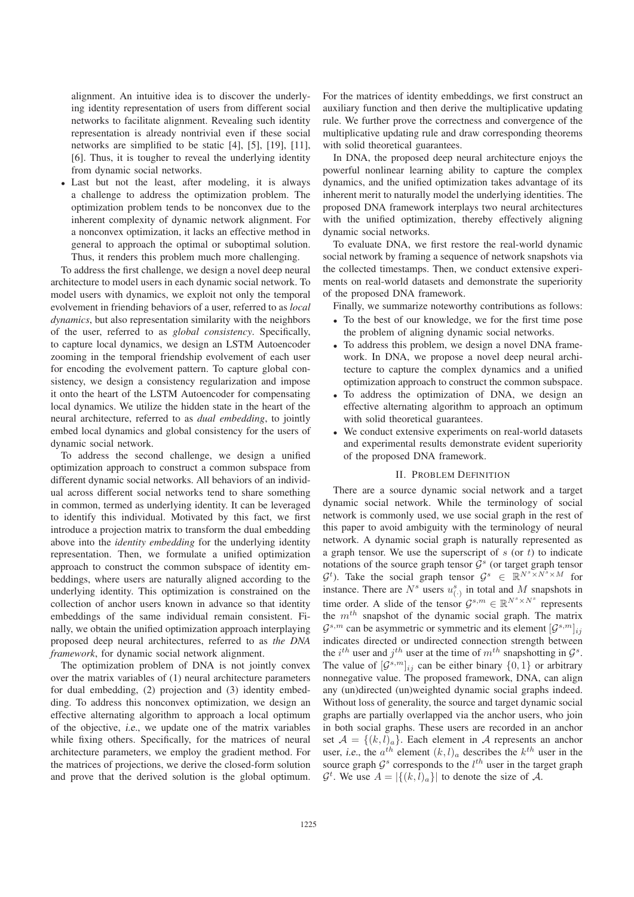alignment. An intuitive idea is to discover the underlying identity representation of users from different social networks to facilitate alignment. Revealing such identity representation is already nontrivial even if these social networks are simplified to be static [4], [5], [19], [11], [6]. Thus, it is tougher to reveal the underlying identity from dynamic social networks.

• Last but not the least, after modeling, it is always a challenge to address the optimization problem. The optimization problem tends to be nonconvex due to the inherent complexity of dynamic network alignment. For a nonconvex optimization, it lacks an effective method in general to approach the optimal or suboptimal solution. Thus, it renders this problem much more challenging.

To address the first challenge, we design a novel deep neural architecture to model users in each dynamic social network. To model users with dynamics, we exploit not only the temporal evolvement in friending behaviors of a user, referred to as *local dynamics*, but also representation similarity with the neighbors of the user, referred to as *global consistency*. Specifically, to capture local dynamics, we design an LSTM Autoencoder zooming in the temporal friendship evolvement of each user for encoding the evolvement pattern. To capture global consistency, we design a consistency regularization and impose it onto the heart of the LSTM Autoencoder for compensating local dynamics. We utilize the hidden state in the heart of the neural architecture, referred to as *dual embedding*, to jointly embed local dynamics and global consistency for the users of dynamic social network.

To address the second challenge, we design a unified optimization approach to construct a common subspace from different dynamic social networks. All behaviors of an individual across different social networks tend to share something in common, termed as underlying identity. It can be leveraged to identify this individual. Motivated by this fact, we first introduce a projection matrix to transform the dual embedding above into the *identity embedding* for the underlying identity representation. Then, we formulate a unified optimization approach to construct the common subspace of identity embeddings, where users are naturally aligned according to the underlying identity. This optimization is constrained on the collection of anchor users known in advance so that identity embeddings of the same individual remain consistent. Finally, we obtain the unified optimization approach interplaying proposed deep neural architectures, referred to as *the DNA framework*, for dynamic social network alignment.

The optimization problem of DNA is not jointly convex over the matrix variables of (1) neural architecture parameters for dual embedding, (2) projection and (3) identity embedding. To address this nonconvex optimization, we design an effective alternating algorithm to approach a local optimum of the objective, i.e., we update one of the matrix variables while fixing others. Specifically, for the matrices of neural architecture parameters, we employ the gradient method. For the matrices of projections, we derive the closed-form solution and prove that the derived solution is the global optimum.

For the matrices of identity embeddings, we first construct an auxiliary function and then derive the multiplicative updating rule. We further prove the correctness and convergence of the multiplicative updating rule and draw corresponding theorems with solid theoretical guarantees.

In DNA, the proposed deep neural architecture enjoys the powerful nonlinear learning ability to capture the complex dynamics, and the unified optimization takes advantage of its inherent merit to naturally model the underlying identities. The proposed DNA framework interplays two neural architectures with the unified optimization, thereby effectively aligning dynamic social networks.

To evaluate DNA, we first restore the real-world dynamic social network by framing a sequence of network snapshots via the collected timestamps. Then, we conduct extensive experiments on real-world datasets and demonstrate the superiority of the proposed DNA framework.

Finally, we summarize noteworthy contributions as follows:

- To the best of our knowledge, we for the first time pose the problem of aligning dynamic social networks.
- To address this problem, we design a novel DNA framework. In DNA, we propose a novel deep neural architecture to capture the complex dynamics and a unified optimization approach to construct the common subspace.
- To address the optimization of DNA, we design an effective alternating algorithm to approach an optimum with solid theoretical guarantees.
- We conduct extensive experiments on real-world datasets and experimental results demonstrate evident superiority of the proposed DNA framework.

### II. PROBLEM DEFINITION

There are a source dynamic social network and a target dynamic social network. While the terminology of social network is commonly used, we use social graph in the rest of this paper to avoid ambiguity with the terminology of neural network. A dynamic social graph is naturally represented as a graph tensor. We use the superscript of  $s$  (or  $t$ ) to indicate notations of the source graph tensor  $\mathcal{G}^s$  (or target graph tensor  $G^t$ ). Take the social graph tensor  $G^s \in \mathbb{R}^{N^s \times N^s \times M}$  for instance. There are  $N^s$  users  $u^s_{(.)}$  in total and M snapshots in time order. A slide of the tensor  $\mathcal{G}^{s,m} \in \mathbb{R}^{N^s \times N^s}$  represents the  $m^{th}$  snapshot of the dynamic social graph. The matrix  $\mathcal{G}^{s,m}$  can be asymmetric or symmetric and its element  $[\mathcal{G}^{s,m}]_{ij}$ indicates directed or undirected connection strength between the  $i^{th}$  user and  $j^{th}$  user at the time of  $m^{th}$  snapshotting in  $\mathcal{G}^s$ . The value of  $[\mathcal{G}^{s,m}]_{ij}$  can be either binary  $\{0,1\}$  or arbitrary nonnegative value. The proposed framework, DNA, can align any (un)directed (un)weighted dynamic social graphs indeed. Without loss of generality, the source and target dynamic social graphs are partially overlapped via the anchor users, who join in both social graphs. These users are recorded in an anchor set  $A = \{(k,l)_a\}$ . Each element in A represents an anchor user, i.e., the  $a^{th}$  element  $(k,l)_a$  describes the  $k^{th}$  user in the source graph  $\mathcal{G}^s$  corresponds to the  $l^{th}$  user in the target graph  $\mathcal{G}^t$ . We use  $A = |\{(k, l)_a\}|$  to denote the size of A.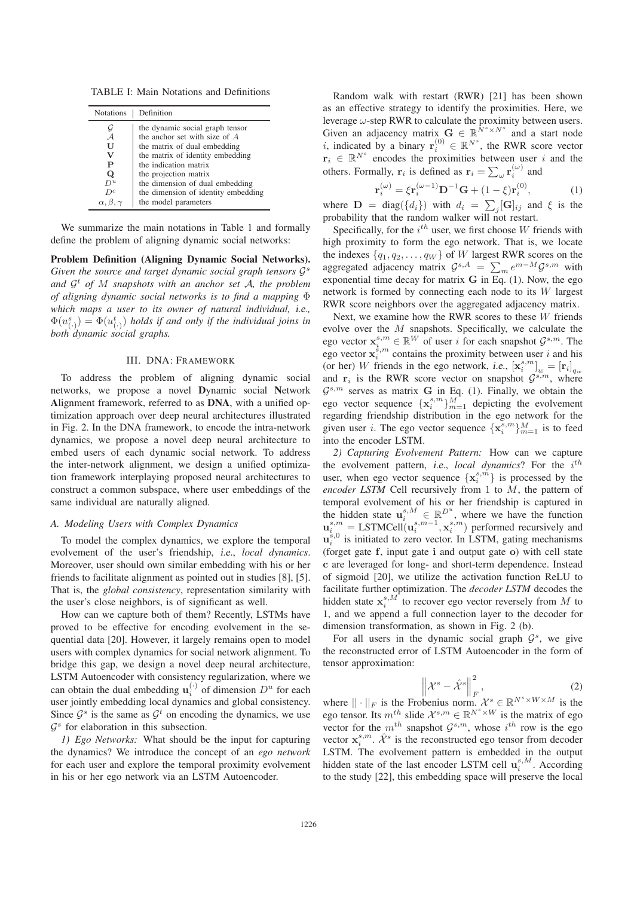TABLE I: Main Notations and Definitions

| <b>Notations</b>        | Definition                          |  |  |
|-------------------------|-------------------------------------|--|--|
| G                       | the dynamic social graph tensor     |  |  |
| $\mathcal{A}$           | the anchor set with size of $A$     |  |  |
| U                       | the matrix of dual embedding        |  |  |
| v                       | the matrix of identity embedding    |  |  |
| P                       | the indication matrix               |  |  |
| Q                       | the projection matrix               |  |  |
| $D^u$                   | the dimension of dual embedding     |  |  |
| $D^c$                   | the dimension of identity embedding |  |  |
| $\alpha, \beta, \gamma$ | the model parameters                |  |  |

We summarize the main notations in Table 1 and formally define the problem of aligning dynamic social networks:

Problem Definition (Aligning Dynamic Social Networks). *Given the source and target dynamic social graph tensors*  $\mathcal{G}^s$ *and* <sup>G</sup><sup>t</sup> *of* <sup>M</sup> *snapshots with an anchor set* <sup>A</sup>*, the problem of aligning dynamic social networks is to find a mapping* Φ *which maps a user to its owner of natural individual,* i.e.*,*  $\Phi(u_{(\cdot)}^s) = \Phi(u_{(\cdot)}^t)$  holds if and only if the individual joins in hoth dynamic social graphs *both dynamic social graphs.*

#### III. DNA: FRAMEWORK

To address the problem of aligning dynamic social networks, we propose a novel Dynamic social Network Alignment framework, referred to as DNA, with a unified optimization approach over deep neural architectures illustrated in Fig. 2. In the DNA framework, to encode the intra-network dynamics, we propose a novel deep neural architecture to embed users of each dynamic social network. To address the inter-network alignment, we design a unified optimization framework interplaying proposed neural architectures to construct a common subspace, where user embeddings of the same individual are naturally aligned.

#### *A. Modeling Users with Complex Dynamics*

To model the complex dynamics, we explore the temporal evolvement of the user's friendship, i.e., *local dynamics*. Moreover, user should own similar embedding with his or her friends to facilitate alignment as pointed out in studies [8], [5]. That is, the *global consistency*, representation similarity with the user's close neighbors, is of significant as well.

How can we capture both of them? Recently, LSTMs have proved to be effective for encoding evolvement in the sequential data [20]. However, it largely remains open to model users with complex dynamics for social network alignment. To bridge this gap, we design a novel deep neural architecture, LSTM Autoencoder with consistency regularization, where we can obtain the dual embedding  $\mathbf{u}_i^{(\cdot)}$  of dimension  $D^u$  for each user jointly embedding local dynamics and global consistency. Since  $\mathcal{G}^s$  is the same as  $\mathcal{G}^t$  on encoding the dynamics, we use  $G<sup>s</sup>$  for elaboration in this subsection.

*1) Ego Networks:* What should be the input for capturing the dynamics? We introduce the concept of an *ego network* for each user and explore the temporal proximity evolvement in his or her ego network via an LSTM Autoencoder.

Random walk with restart (RWR) [21] has been shown as an effective strategy to identify the proximities. Here, we leverage  $\omega$ -step RWR to calculate the proximity between users. Given an adjacency matrix  $G \in \mathbb{R}^{\hat{N}^s \times N^s}$  and a start node *i*, indicated by a binary  $\mathbf{r}_i^{(0)} \in \mathbb{R}^{N^s}$ , the RWR score vector  $\mathbf{r}_i \in \mathbb{R}^{N^s}$  encodes the proximities between user i and the others. Formally, **r**<sub>i</sub> is defined as  $\mathbf{r}_i = \sum_{\omega} \mathbf{r}_i^{(\omega)}$  and

$$
\mathbf{r}_i^{(\omega)} = \xi \mathbf{r}_i^{(\omega - 1)} \mathbf{D}^{-1} \mathbf{G} + (1 - \xi) \mathbf{r}_i^{(0)},\tag{1}
$$

where  $\mathbf{D} = \text{diag}(\{d_i\})$  with  $d_i = \sum_j [\mathbf{G}]_{ij}$  and  $\xi$  is the probability that the random walker will not restart probability that the random walker will not restart.

Specifically, for the  $i^{th}$  user, we first choose W friends with high proximity to form the ego network. That is, we locate the indexes  $\{q_1, q_2, \ldots, q_W\}$  of W largest RWR scores on the aggregated adjacency matrix  $G^{s,A} = \sum_m e^{m-M} G^{s,m}$  with<br>exponential time decay for matrix  $G$  in Eq. (1). Now the eqg exponential time decay for matrix **G** in Eq. (1). Now, the ego network is formed by connecting each node to its W largest RWR score neighbors over the aggregated adjacency matrix.

Next, we examine how the RWR scores to these W friends evolve over the M snapshots. Specifically, we calculate the ego vector  $\mathbf{x}_{i}^{s,m} \in \mathbb{R}^{W}$  of user i for each snapshot  $\mathcal{G}^{s,m}$ . The ego vector  $\mathbf{x}_i^{s,m}$  contains the proximity between user i and his (or her) W friends in the ego network, i.e.,  $[\mathbf{x}_{i}^{s,m}]_{w} = [\mathbf{r}_{i}]_{q_{w}}$  and  $\mathbf{r}_{i}$  is the RWR score vector on snapshot  $\mathcal{G}^{s,m}$ , where  $\mathcal{G}^{s,m}$  serves as matrix **G** in Eq. (1). Finally, we obtain the ego vector sequence  $\{x_i^{s,m}\}_{m=1}^M$  depicting the evolvement regarding friendship distribution in the ego network for the given user *i*. The ego vector sequence  $\{ \mathbf{x}_{i}^{s,m} \}_{m=1}^{M}$  is to feed into the encoder LSTM.

*2) Capturing Evolvement Pattern:* How can we capture the evolvement pattern, i.e., local dynamics? For the i<sup>th</sup> user, when ego vector sequence  $\{x_i^{s,m}\}$  is processed by the *encoder LSTM* Cell recursively from 1 to <sup>M</sup>, the pattern of temporal evolvement of his or her friendship is captured in the hidden state  $\mathbf{u}_i^{s,M}$  ∈  $\mathbb{R}^{D^u}$ , where we have the function  $\mathbf{u}_i^{s,m}$  = LSTMCell( $\mathbf{u}_i^{s,m-1}, \mathbf{x}_i^{s,m}$ ) performed recursively and  $\mathbf{u}_i^{s,0}$  is initiated to zero vector. In I STM, gating mechan  $u_i^{\dot{s},0}$  is initiated to zero vector. In LSTM, gating mechanisms (forget gate **f**, input gate **i** and output gate **o**) with cell state **c** are leveraged for long- and short-term dependence. Instead of sigmoid [20], we utilize the activation function ReLU to facilitate further optimization. The *decoder LSTM* decodes the hidden state  $\mathbf{x}_{i}^{s,M^{\mathsf{T}}}$  to recover ego vector reversely from M to 1, and we append a full connection layer to the decoder for dimension transformation, as shown in Fig. 2 (b).

For all users in the dynamic social graph  $\mathcal{G}^s$ , we give the reconstructed error of LSTM Autoencoder in the form of tensor approximation:

$$
\left\| \mathcal{X}^s - \hat{\mathcal{X}}^s \right\|_F^2, \tag{2}
$$

where  $|| \cdot ||_F$  is the Frobenius norm.  $\mathcal{X}^s \in \mathbb{R}^{N^s \times W \times M}$  is the ego tensor. Its  $m^{th}$  slide  $\mathcal{X}^{s,m} \in \mathbb{R}^{N^s \times W}$  is the matrix of ego vector for the  $m^{th}$  snapshot  $\mathcal{G}^{s,m}$ , whose  $i^{th}$  row is the ego vector  $\mathbf{x}_{i}^{s,m}$ .  $\hat{\mathcal{X}}^{s}$  is the reconstructed ego tensor from decoder LSTM. The evolvement pattern is embedded in the output hidden state of the last encoder LSTM cell  $\mathbf{u}_{i}^{s,M}$ . According to the study [22], this embedding space will preserve the local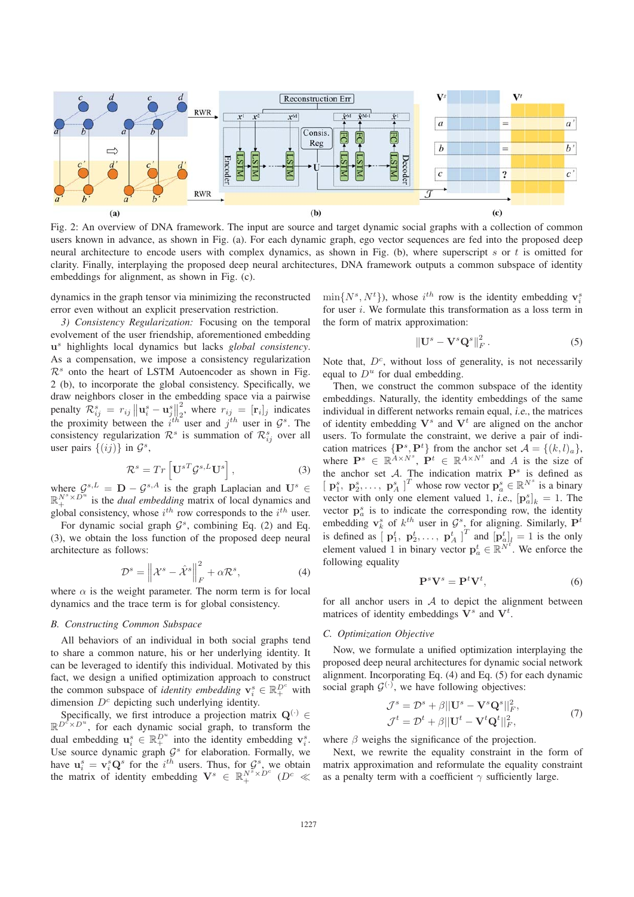

Fig. 2: An overview of DNA framework. The input are source and target dynamic social graphs with a collection of common users known in advance, as shown in Fig. (a). For each dynamic graph, ego vector sequences are fed into the proposed deep neural architecture to encode users with complex dynamics, as shown in Fig. (b), where superscript  $s$  or  $t$  is omitted for clarity. Finally, interplaying the proposed deep neural architectures, DNA framework outputs a common subspace of identity embeddings for alignment, as shown in Fig. (c).

dynamics in the graph tensor via minimizing the reconstructed error even without an explicit preservation restriction.

*3) Consistency Regularization:* Focusing on the temporal evolvement of the user friendship, aforementioned embedding **u**<sup>s</sup> highlights local dynamics but lacks *global consistency*. As a compensation, we impose a consistency regularization  $\mathcal{R}^s$  onto the heart of LSTM Autoencoder as shown in Fig. 2 (b), to incorporate the global consistency. Specifically, we draw neighbors closer in the embedding space via a pairwise penalty  $\mathcal{R}_{ij}^s = r_{ij} ||\mathbf{u}_i^s - \mathbf{u}_j^s||$ <br>the proximity between the *i*<sup>th</sup> penalty  $\mathcal{R}_{ij}^s = r_{ij} ||\mathbf{u}_i^s - \mathbf{u}_j^s||_2^2$ , where  $r_{ij} = [\mathbf{r}_i]_j$  indicates the proximity between the  $i^{th}$  user and  $j^{th}$  user in  $\mathcal{G}^s$ . The consistency regularization  $\mathcal{R}^s$  is summation of  $\mathcal{R}^s_{ij}$  over all user pairs  $\{(ij)\}\$ in  $\mathcal{G}^s$ ,

$$
\mathcal{R}^s = Tr\left[\mathbf{U}^{sT}\mathcal{G}^{s,L}\mathbf{U}^s\right],\tag{3}
$$

where  $\mathcal{G}^{s,L} = \mathbf{D} - \mathcal{G}^{s,A}$  is the graph Laplacian and  $\mathbf{U}^s \in \mathbb{R}_+^{N^s \times D^u}$  is the *dual embedding* matrix of local dynamics and global consistency, whose  $i^{th}$  row corresponds to the  $i^{th}$  user.

For dynamic social graph  $\mathcal{G}^s$ , combining Eq. (2) and Eq. (3), we obtain the loss function of the proposed deep neural architecture as follows:

$$
\mathcal{D}^s = \left\| \mathcal{X}^s - \hat{\mathcal{X}}^s \right\|_F^2 + \alpha \mathcal{R}^s, \tag{4}
$$

where  $\alpha$  is the weight parameter. The norm term is for local dynamics and the trace term is for global consistency.

### *B. Constructing Common Subspace*

All behaviors of an individual in both social graphs tend to share a common nature, his or her underlying identity. It can be leveraged to identify this individual. Motivated by this fact, we design a unified optimization approach to construct the common subspace of *identity embedding*  $\mathbf{v}_i^s \in \mathbb{R}_+^{D^c}$  with dimension  $D<sup>c</sup>$  depicting such underlying identity.

Specifically, we first introduce a projection matrix  $\mathbf{Q}^{(\cdot)}$  $\mathbb{R}^{D^c \times D^u}$ , for each dynamic social graph, to transform the dual embedding  $\mathbf{u}_i^s \in \mathbb{R}_+^{D^u}$  into the identity embedding  $\mathbf{v}_i^s$ . Use source dynamic graph  $\mathcal{G}^s$  for elaboration. Formally, we have  $\mathbf{u}_i^s = \mathbf{v}_i^s \mathbf{Q}^s$  for the  $i^{th}$  users. Thus, for  $\mathcal{G}^s$ , we obtain the matrix of identity embedding  $\mathbf{V}^s \in \mathbb{R}^{N^s \times D^c}$  ( $D^c$ the matrix of identity embedding  $\mathbf{V}^s \in \mathbb{R}_+^{N^s \times D^c}$  ( $D^c \ll$ 

 $\min\{N^s, N^t\}$ , whose  $i^{th}$  row is the identity embedding  $\mathbf{v}_i^s$  for user i. We formulate this transformation as a loss term in for user  $i$ . We formulate this transformation as a loss term in the form of matrix approximation:

$$
\left\|\mathbf{U}^s - \mathbf{V}^s \mathbf{Q}^s\right\|_F^2.
$$
 (5)

Note that,  $D<sup>c</sup>$ , without loss of generality, is not necessarily equal to  $D^u$  for dual embedding.

Then, we construct the common subspace of the identity embeddings. Naturally, the identity embeddings of the same individual in different networks remain equal, i.e., the matrices of identity embedding  $V^s$  and  $V^t$  are aligned on the anchor users. To formulate the constraint, we derive a pair of indication matrices  $\{P^s, P^t\}$  from the anchor set  $A = \{(k, l)_a\}$ ,<br>where  $P^s \in \mathbb{R}^{A \times N^s}$ ,  $P^t \in \mathbb{R}^{A \times N^t}$  and A is the size of the anchor set  $A$ . The indication matrix  $P^s$  is defined as  $\left[ \mathbf{p}_1^s, \mathbf{p}_2^s, \dots, \mathbf{p}_A^s \right]^T$  whose row vector  $\mathbf{p}_a^s \in \mathbb{R}^{N^s}$  is a binary<br>vector with only one element valued 1 i.e.  $\left[ \mathbf{p}_2^s \right] = 1$ . The vector with only one element valued 1, *i.e.*,  $[p^s_{a}]_k = 1$ . The vector  $p^s$  is to indicate the corresponding row the identity vector  $\mathbf{p}_a^s$  is to indicate the corresponding row, the identity embedding  $\mathbf{v}_k^s$  of  $k^{th}$  user in  $\mathcal{G}^s$ , for aligning. Similarly,  $\mathbf{P}^t$ is defined as  $\left[\mathbf{p}_1^t, \mathbf{p}_2^t, \dots, \mathbf{p}_A^t\right]^T$  and  $\left[\mathbf{p}_{a}^t\right]_l = 1$  is the only element valued 1 in binary vector  $\mathbf{p}_a^t \in \mathbb{R}^{\tilde{N}^t}$ . We enforce the following equality following equality

$$
\mathbf{P}^s \mathbf{V}^s = \mathbf{P}^t \mathbf{V}^t,\tag{6}
$$

for all anchor users in  $A$  to depict the alignment between matrices of identity embeddings  $\mathbf{\bar{V}}^s$  and  $\mathbf{V}^t$ .

## *C. Optimization Objective*

Now, we formulate a unified optimization interplaying the proposed deep neural architectures for dynamic social network alignment. Incorporating Eq. (4) and Eq. (5) for each dynamic social graph  $G^{(\cdot)}$ , we have following objectives:

$$
\mathcal{J}^s = \mathcal{D}^s + \beta ||\mathbf{U}^s - \mathbf{V}^s \mathbf{Q}^s||_F^2,
$$
  

$$
\mathcal{J}^t = \mathcal{D}^t + \beta ||\mathbf{U}^t - \mathbf{V}^t \mathbf{Q}^t||_F^2,
$$
 (7)

where  $\beta$  weighs the significance of the projection.

Next, we rewrite the equality constraint in the form of matrix approximation and reformulate the equality constraint as a penalty term with a coefficient  $\gamma$  sufficiently large.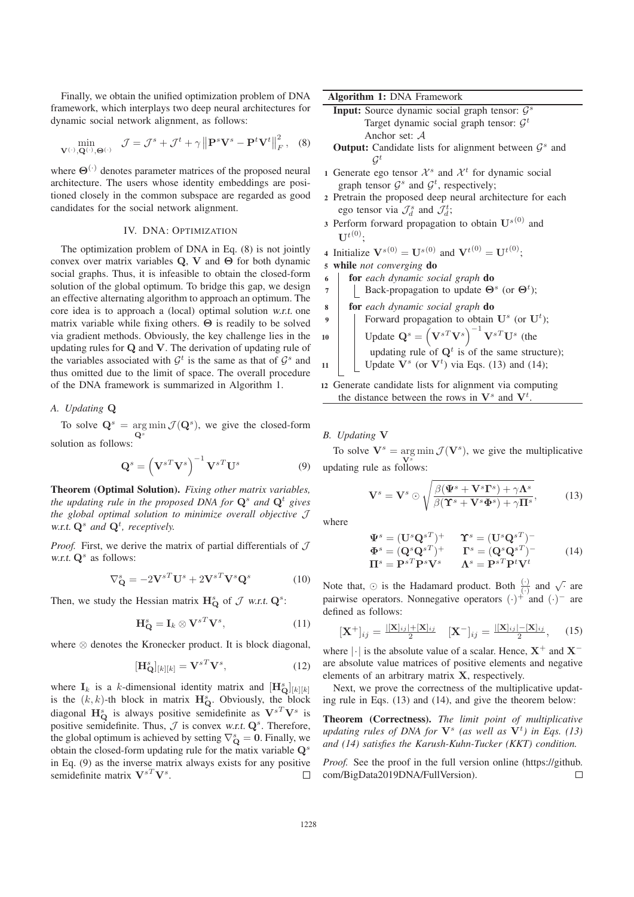Finally, we obtain the unified optimization problem of DNA framework, which interplays two deep neural architectures for dynamic social network alignment, as follows:

$$
\min_{\mathbf{V}^{(\cdot)},\mathbf{Q}^{(\cdot)},\Theta^{(\cdot)}} \mathcal{J} = \mathcal{J}^s + \mathcal{J}^t + \gamma \left\| \mathbf{P}^s \mathbf{V}^s - \mathbf{P}^t \mathbf{V}^t \right\|_F^2, \quad (8)
$$

where **Θ**(·) denotes parameter matrices of the proposed neural architecture. The users whose identity embeddings are positioned closely in the common subspace are regarded as good candidates for the social network alignment.

## IV. DNA: OPTIMIZATION

The optimization problem of DNA in Eq. (8) is not jointly convex over matrix variables **Q**, **V** and **Θ** for both dynamic social graphs. Thus, it is infeasible to obtain the closed-form solution of the global optimum. To bridge this gap, we design an effective alternating algorithm to approach an optimum. The core idea is to approach a (local) optimal solution w.r.t. one matrix variable while fixing others. **Θ** is readily to be solved via gradient methods. Obviously, the key challenge lies in the updating rules for **Q** and **V**. The derivation of updating rule of the variables associated with  $\mathcal{G}^t$  is the same as that of  $\mathcal{G}^s$  and thus omitted due to the limit of space. The overall procedure of the DNA framework is summarized in Algorithm 1.

#### *A. Updating* **Q**

To solve  $Q^s = \argmin_{Q^s} \mathcal{J}(Q^s)$ , we give the closed-form solution as follows:

$$
\mathbf{Q}^s = \left(\mathbf{V}^{sT}\mathbf{V}^s\right)^{-1}\mathbf{V}^{sT}\mathbf{U}^s\tag{9}
$$

Theorem (Optimal Solution). *Fixing other matrix variables, the updating rule in the proposed DNA for*  $\mathbf{Q}^s$  *and*  $\mathbf{Q}^t$  *gives the global optimal solution to minimize overall objective* J w.r.t. **Q**<sup>s</sup> *and* **Q**<sup>t</sup> *, receptively.*

*Proof.* First, we derive the matrix of partial differentials of  $J$ w.r.t.  $Q^s$  as follows:

$$
\nabla_{\mathbf{Q}}^{s} = -2\mathbf{V}^{sT}\mathbf{U}^{s} + 2\mathbf{V}^{sT}\mathbf{V}^{s}\mathbf{Q}^{s}
$$
 (10)

Then, we study the Hessian matrix  $\mathbf{H}_{\mathbf{Q}}^{s}$  of  $\mathcal{J}$  w.r.t.  $\mathbf{Q}^{s}$ :

$$
\mathbf{H}_{\mathbf{Q}}^{s} = \mathbf{I}_{k} \otimes \mathbf{V}^{sT} \mathbf{V}^{s}, \tag{11}
$$

where ⊗ denotes the Kronecker product. It is block diagonal,

$$
[\mathbf{H}_{\mathbf{Q}}^{s}]_{[k][k]} = \mathbf{V}^{sT} \mathbf{V}^{s}, \tag{12}
$$

where  $\mathbf{I}_k$  is a k-dimensional identity matrix and  $[\mathbf{H}_{\text{Q}}^{\text{s}}]_{[k][k]}$ <br>is the  $(k, k)$ -th block in matrix  $\mathbf{H}^{\text{s}}$ . Obviously the block is the  $(k, k)$ -th block in matrix  $\mathbf{H}_{\mathcal{O}}^s$ . Obviously, the block<br>disconal  $\mathbf{H}_{\mathcal{O}}^s$  is always positive somidativity as  $\mathbf{V}_{\mathcal{O}}^{sT} \mathbf{V}_{\mathcal{O}}^s$  is diagonal  $\mathbf{H}_{\mathbf{Q}}^{s}$  is always positive semidefinite as  $\mathbf{V}^{sT}\mathbf{V}^{s}$  is positive semidefinite. Thus,  $J$  is convex w.r.t.  $Q^s$ . Therefore, the global optimum is achieved by setting  $\nabla_{\mathbf{Q}}^s = \mathbf{0}$ . Finally, we obtain the closed-form undating rule for the matix variable  $\mathbf{Q}^s$ obtain the closed-form updating rule for the matix variable **Q**<sup>s</sup> in Eq. (9) as the inverse matrix always exists for any positive semidefinite matrix  $\mathbf{V}^{sT}\mathbf{V}^{s}$ .  $\Box$ 

Algorithm 1: DNA Framework

- Input: Source dynamic social graph tensor:  $\mathcal{G}^s$ Target dynamic social graph tensor:  $\mathcal{G}^t$ Anchor set: A
- **Output:** Candidate lists for alignment between  $\mathcal{G}^s$  and  $G^t$
- 1 Generate ego tensor  $\mathcal{X}^s$  and  $\mathcal{X}^t$  for dynamic social graph tensor  $\mathcal{G}^s$  and  $\mathcal{G}^t$ , respectively;
- <sup>2</sup> Pretrain the proposed deep neural architecture for each ego tensor via  $\mathcal{J}_d^s$  and  $\mathcal{J}_d^t$ ;
- 3 Perform forward propagation to obtain  $\mathbf{U}^{s(0)}$  and  $\Pi^{t(0)}$

4 Initialize 
$$
\mathbf{V}^{s(0)} = \mathbf{U}^{s(0)}
$$
 and  $\mathbf{V}^{t(0)} = \mathbf{U}^{t(0)}$ ;  
5 while *not converging* do

- <sup>6</sup> for *each dynamic social graph* do
- <sup>7</sup> Back-propagation to update **Θ**<sup>s</sup> (or **Θ**<sup>t</sup> );
- <sup>8</sup> for *each dynamic social graph* do
- $\bullet$  | Forward propagation to obtain  $\mathbf{U}^s$  (or  $\mathbf{U}^t$ );

10 Update 
$$
Q^s = (V^{sT}V^s)^{-1}V^{sT}U^s
$$
 (the  
up dating rule of  $Q^t$  is of the same structure);  
11 11 Update  $V^s$  (or  $V^t$ ) via Eqs. (13) and (14);

<sup>12</sup> Generate candidate lists for alignment via computing the distance between the rows in  $V^s$  and  $V^t$ .

#### *B. Updating* **V**

To solve  $V^s = \arg \min_{V^s} \mathcal{J}(V^s)$ , we give the multiplicative **V**<sup>s</sup> updating rule as follows:

$$
\mathbf{V}^{s} = \mathbf{V}^{s} \odot \sqrt{\frac{\beta(\mathbf{\Psi}^{s} + \mathbf{V}^{s}\Gamma^{s}) + \gamma\Lambda^{s}}{\beta(\mathbf{\Upsilon}^{s} + \mathbf{V}^{s}\mathbf{\Phi}^{s}) + \gamma\Pi^{s}}},
$$
(13)

where

$$
\Psi^s = (\mathbf{U}^s \mathbf{Q}^{sT})^+ \qquad \Upsilon^s = (\mathbf{U}^s \mathbf{Q}^{sT})^-
$$
\n
$$
\Phi^s = (\mathbf{Q}^s \mathbf{Q}^{sT})^+ \qquad \Gamma^s = (\mathbf{Q}^s \mathbf{Q}^{sT})^-
$$
\n
$$
\Pi^s = \mathbf{P}^{sT} \mathbf{P}^s \mathbf{V}^s \qquad \Lambda^s = \mathbf{P}^{sT} \mathbf{P}^t \mathbf{V}^t
$$
\n(14)

Note that,  $\odot$  is the Hadamard product. Both  $\frac{(\cdot)}{(\cdot)}$  and  $\sqrt{\cdot}$  are pairwise operators. Nonnegative operators  $(\cdot)^{+}$  and  $(\cdot)^{-}$  are defined as follows:

$$
[\mathbf{X}^+]_{ij} = \frac{([\mathbf{X}]_{ij}] + [\mathbf{X}]_{ij}}{2} \quad [\mathbf{X}^-]_{ij} = \frac{([\mathbf{X}]_{ij}] - [\mathbf{X}]_{ij}}{2}, \quad (15)
$$

where  $|\cdot|$  is the absolute value of a scalar. Hence,  $X^+$  and  $X^$ are absolute value matrices of positive elements and negative elements of an arbitrary matrix **X**, respectively.

Next, we prove the correctness of the multiplicative updating rule in Eqs. (13) and (14), and give the theorem below:

Theorem (Correctness). *The limit point of multiplicative updating rules of DNA for* **V**<sup>s</sup> *(as well as* **V**<sup>t</sup> *) in Eqs. (13) and (14) satisfies the Karush-Kuhn-Tucker (KKT) condition.*

*Proof.* See the proof in the full version online (https://github. com/BigData2019DNA/FullVersion).  $\Box$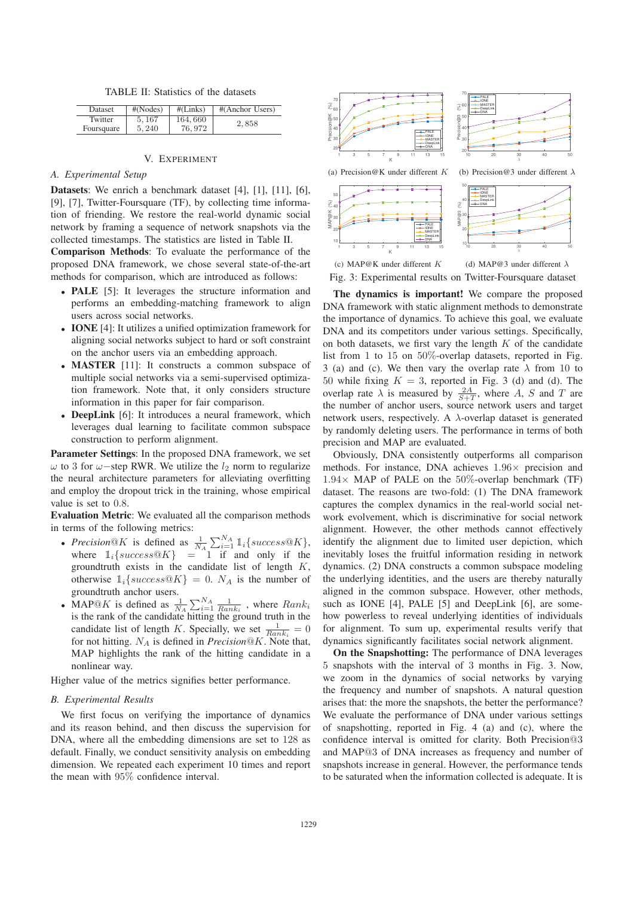TABLE II: Statistics of the datasets

| <b>Dataset</b> | #(Nodes) | #(Links) | #(Anchor Users) |
|----------------|----------|----------|-----------------|
| Twitter        | 5.167    | 164,660  | 2,858           |
| Foursquare     | 5.240    | 76, 972  |                 |

### V. EXPERIMENT

#### *A. Experimental Setup*

Datasets: We enrich a benchmark dataset [4], [1], [11], [6], [9], [7], Twitter-Foursquare (TF), by collecting time information of friending. We restore the real-world dynamic social network by framing a sequence of network snapshots via the collected timestamps. The statistics are listed in Table II.

Comparison Methods: To evaluate the performance of the proposed DNA framework, we chose several state-of-the-art methods for comparison, which are introduced as follows:

- PALE [5]: It leverages the structure information and performs an embedding-matching framework to align users across social networks.
- IONE [4]: It utilizes a unified optimization framework for aligning social networks subject to hard or soft constraint on the anchor users via an embedding approach.
- **MASTER** [11]: It constructs a common subspace of multiple social networks via a semi-supervised optimization framework. Note that, it only considers structure information in this paper for fair comparison.
- DeepLink [6]: It introduces a neural framework, which leverages dual learning to facilitate common subspace construction to perform alignment.

Parameter Settings: In the proposed DNA framework, we set  $ω$  to 3 for  $ω$ −step RWR. We utilize the  $l_2$  norm to regularize the neural architecture parameters for alleviating overfitting and employ the dropout trick in the training, whose empirical value is set to 0.8.

Evaluation Metric: We evaluated all the comparison methods in terms of the following metrics:

- *Precision*  $\mathbb{Q}K$  is defined as  $\frac{1}{N_A} \sum_{i=1}^{N_A} \mathbb{1}_i \{success \mathbb{Q}K\}$ , where  $\mathbb{1}_i$  success  $\mathbb{Q}K$ ,  $-1$  if and only if the where  $\mathbb{1}_i$  { $success@K$ } = 1 if and only if the groundtruth exists in the candidate list of length K groundtruth exists in the candidate list of length  $K$ , otherwise  $1_i$ {success@K} = 0. N<sub>A</sub> is the number of groundtruth anchor users.
- MAP@K is defined as  $\frac{1}{N_A} \sum_{i=1}^{N_A} \frac{1}{Rank_i}$ , where  $Rank_i$  is the rank of the candidate bitting the ground truth in the is the rank of the candidate hitting the ground truth in the candidate list of length K. Specially, we set  $\frac{1}{Rank_i} = 0$ <br>for not hitting  $N_A$  is defined in *Precision*  $\mathbb{R}^K$ . Note that for not hitting.  $N_A$  is defined in *Precision*<sup>®</sup>K. Note that, MAP highlights the rank of the hitting candidate in a nonlinear way.

Higher value of the metrics signifies better performance.

#### *B. Experimental Results*

We first focus on verifying the importance of dynamics and its reason behind, and then discuss the supervision for DNA, where all the embedding dimensions are set to 128 as default. Finally, we conduct sensitivity analysis on embedding dimension. We repeated each experiment 10 times and report the mean with 95% confidence interval.



Fig. 3: Experimental results on Twitter-Foursquare dataset

The dynamics is important! We compare the proposed DNA framework with static alignment methods to demonstrate the importance of dynamics. To achieve this goal, we evaluate DNA and its competitors under various settings. Specifically, on both datasets, we first vary the length  $K$  of the candidate list from 1 to 15 on  $50\%$ -overlap datasets, reported in Fig. 3 (a) and (c). We then vary the overlap rate  $\lambda$  from 10 to 50 while fixing  $K = 3$ , reported in Fig. 3 (d) and (d). The overlap rate  $\lambda$  is measured by  $\frac{2A}{S+T}$ , where A, S and T are the number of anchor users, source network users and target network users, respectively. A  $\lambda$ -overlap dataset is generated by randomly deleting users. The performance in terms of both precision and MAP are evaluated.

Obviously, DNA consistently outperforms all comparison methods. For instance, DNA achieves 1.96<sup>×</sup> precision and  $1.94\times$  MAP of PALE on the 50%-overlap benchmark (TF) dataset. The reasons are two-fold: (1) The DNA framework captures the complex dynamics in the real-world social network evolvement, which is discriminative for social network alignment. However, the other methods cannot effectively identify the alignment due to limited user depiction, which inevitably loses the fruitful information residing in network dynamics. (2) DNA constructs a common subspace modeling the underlying identities, and the users are thereby naturally aligned in the common subspace. However, other methods, such as IONE [4], PALE [5] and DeepLink [6], are somehow powerless to reveal underlying identities of individuals for alignment. To sum up, experimental results verify that dynamics significantly facilitates social network alignment.

On the Snapshotting: The performance of DNA leverages 5 snapshots with the interval of 3 months in Fig. 3. Now, we zoom in the dynamics of social networks by varying the frequency and number of snapshots. A natural question arises that: the more the snapshots, the better the performance? We evaluate the performance of DNA under various settings of snapshotting, reported in Fig. 4 (a) and (c), where the confidence interval is omitted for clarity. Both Precision@3 and MAP@3 of DNA increases as frequency and number of snapshots increase in general. However, the performance tends to be saturated when the information collected is adequate. It is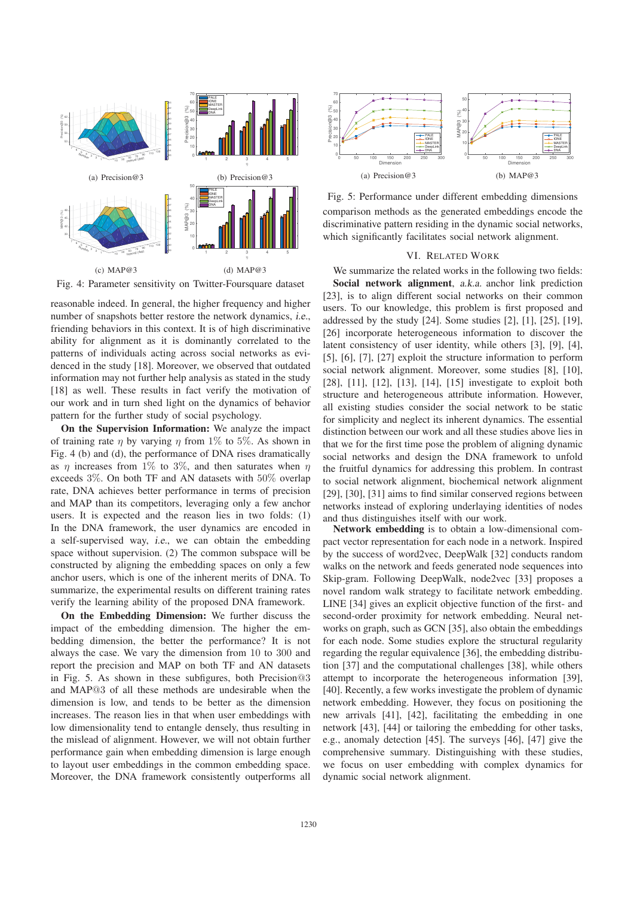

Fig. 4: Parameter sensitivity on Twitter-Foursquare dataset

reasonable indeed. In general, the higher frequency and higher number of snapshots better restore the network dynamics, i.e., friending behaviors in this context. It is of high discriminative ability for alignment as it is dominantly correlated to the patterns of individuals acting across social networks as evidenced in the study [18]. Moreover, we observed that outdated information may not further help analysis as stated in the study [18] as well. These results in fact verify the motivation of our work and in turn shed light on the dynamics of behavior pattern for the further study of social psychology.

On the Supervision Information: We analyze the impact of training rate *n* by varying *n* from 1% to 5%. As shown in Fig. 4 (b) and (d), the performance of DNA rises dramatically as  $\eta$  increases from 1% to 3%, and then saturates when  $\eta$ exceeds 3%. On both TF and AN datasets with 50% overlap rate, DNA achieves better performance in terms of precision and MAP than its competitors, leveraging only a few anchor users. It is expected and the reason lies in two folds: (1) In the DNA framework, the user dynamics are encoded in a self-supervised way, i.e., we can obtain the embedding space without supervision. (2) The common subspace will be constructed by aligning the embedding spaces on only a few anchor users, which is one of the inherent merits of DNA. To summarize, the experimental results on different training rates verify the learning ability of the proposed DNA framework.

On the Embedding Dimension: We further discuss the impact of the embedding dimension. The higher the embedding dimension, the better the performance? It is not always the case. We vary the dimension from 10 to 300 and report the precision and MAP on both TF and AN datasets in Fig. 5. As shown in these subfigures, both Precision@3 and MAP@3 of all these methods are undesirable when the dimension is low, and tends to be better as the dimension increases. The reason lies in that when user embeddings with low dimensionality tend to entangle densely, thus resulting in the mislead of alignment. However, we will not obtain further performance gain when embedding dimension is large enough to layout user embeddings in the common embedding space. Moreover, the DNA framework consistently outperforms all



Fig. 5: Performance under different embedding dimensions comparison methods as the generated embeddings encode the discriminative pattern residing in the dynamic social networks, which significantly facilitates social network alignment.

#### VI. RELATED WORK

We summarize the related works in the following two fields:

Social network alignment, a.k.a. anchor link prediction [23], is to align different social networks on their common users. To our knowledge, this problem is first proposed and addressed by the study [24]. Some studies [2], [1], [25], [19], [26] incorporate heterogeneous information to discover the latent consistency of user identity, while others [3], [9], [4], [5], [6], [7], [27] exploit the structure information to perform social network alignment. Moreover, some studies [8], [10], [28], [11], [12], [13], [14], [15] investigate to exploit both structure and heterogeneous attribute information. However, all existing studies consider the social network to be static for simplicity and neglect its inherent dynamics. The essential distinction between our work and all these studies above lies in that we for the first time pose the problem of aligning dynamic social networks and design the DNA framework to unfold the fruitful dynamics for addressing this problem. In contrast to social network alignment, biochemical network alignment [29], [30], [31] aims to find similar conserved regions between networks instead of exploring underlaying identities of nodes and thus distinguishes itself with our work.

Network embedding is to obtain a low-dimensional compact vector representation for each node in a network. Inspired by the success of word2vec, DeepWalk [32] conducts random walks on the network and feeds generated node sequences into Skip-gram. Following DeepWalk, node2vec [33] proposes a novel random walk strategy to facilitate network embedding. LINE [34] gives an explicit objective function of the first- and second-order proximity for network embedding. Neural networks on graph, such as GCN [35], also obtain the embeddings for each node. Some studies explore the structural regularity regarding the regular equivalence [36], the embedding distribution [37] and the computational challenges [38], while others attempt to incorporate the heterogeneous information [39], [40]. Recently, a few works investigate the problem of dynamic network embedding. However, they focus on positioning the new arrivals [41], [42], facilitating the embedding in one network [43], [44] or tailoring the embedding for other tasks, e.g., anomaly detection [45]. The surveys [46], [47] give the comprehensive summary. Distinguishing with these studies, we focus on user embedding with complex dynamics for dynamic social network alignment.